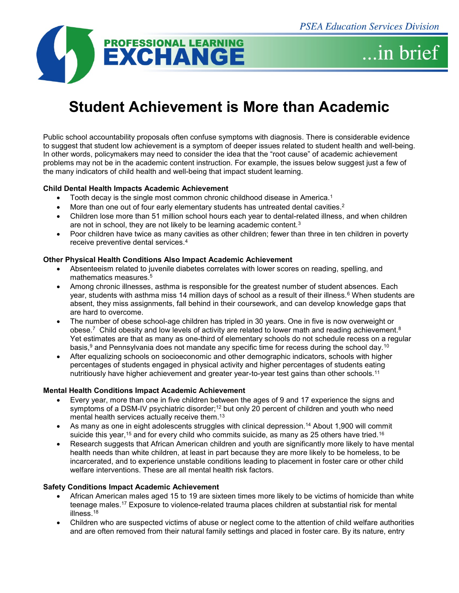

...in brief

# **Student Achievement is More than Academic**

Public school accountability proposals often confuse symptoms with diagnosis. There is considerable evidence to suggest that student low achievement is a symptom of deeper issues related to student health and well-being. In other words, policymakers may need to consider the idea that the "root cause" of academic achievement problems may not be in the academic content instruction. For example, the issues below suggest just a few of the many indicators of child health and well-being that impact student learning.

## **Child Dental Health Impacts Academic Achievement**

- Tooth decay is the single most common chronic childhood disease in America.<sup>1</sup>
- More than one out of four early elementary students has untreated dental cavities.<sup>2</sup>
- Children lose more than 51 million school hours each year to dental-related illness, and when children are not in school, they are not likely to be learning academic content.<sup>3</sup>
- Poor children have twice as many cavities as other children; fewer than three in ten children in poverty receive preventive dental services.<sup>4</sup>

## **Other Physical Health Conditions Also Impact Academic Achievement**

- Absenteeism related to juvenile diabetes correlates with lower scores on reading, spelling, and mathematics measures.<sup>5</sup>
- Among chronic illnesses, asthma is responsible for the greatest number of student absences. Each year, students with asthma miss 14 million days of school as a result of their illness.<sup>6</sup> When students are absent, they miss assignments, fall behind in their coursework, and can develop knowledge gaps that are hard to overcome.
- The number of obese school-age children has tripled in 30 years. One in five is now overweight or obese.<sup>7</sup> Child obesity and low levels of activity are related to lower math and reading achievement.<sup>8</sup> Yet estimates are that as many as one-third of elementary schools do not schedule recess on a regular basis, $^9$  and Pennsylvania does not mandate any specific time for recess during the school day. $^{10}$
- After equalizing schools on socioeconomic and other demographic indicators, schools with higher percentages of students engaged in physical activity and higher percentages of students eating nutritiously have higher achievement and greater year-to-year test gains than other schools.<sup>11</sup>

## **Mental Health Conditions Impact Academic Achievement**

- Every year, more than one in five children between the ages of 9 and 17 experience the signs and symptoms of a DSM-IV psychiatric disorder;<sup>12</sup> but only 20 percent of children and youth who need mental health services actually receive them.<sup>13</sup>
- As many as one in eight adolescents struggles with clinical depression.<sup>14</sup> About 1,900 will commit suicide this year, $^{\rm 15}$  and for every child who commits suicide, as many as 25 others have tried. $^{\rm 16}$
- Research suggests that African American children and youth are significantly more likely to have mental health needs than white children, at least in part because they are more likely to be homeless, to be incarcerated, and to experience unstable conditions leading to placement in foster care or other child welfare interventions. These are all mental health risk factors.

## **Safety Conditions Impact Academic Achievement**

- African American males aged 15 to 19 are sixteen times more likely to be victims of homicide than white teenage males.<sup>17</sup> Exposure to violence-related trauma places children at substantial risk for mental illness.<sup>18</sup>
- Children who are suspected victims of abuse or neglect come to the attention of child welfare authorities and are often removed from their natural family settings and placed in foster care. By its nature, entry